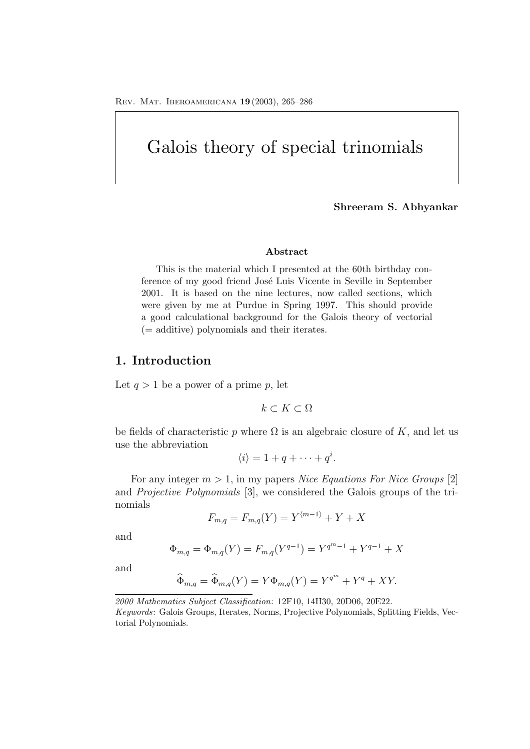# Galois theory of special trinomials

#### **Shreeram S. Abhyankar**

#### **Abstract**

This is the material which I presented at the 60th birthday conference of my good friend José Luis Vicente in Seville in September 2001. It is based on the nine lectures, now called sections, which were given by me at Purdue in Spring 1997. This should provide a good calculational background for the Galois theory of vectorial (= additive) polynomials and their iterates.

### **1. Introduction**

Let  $q > 1$  be a power of a prime p, let

$$
k\subset K\subset\Omega
$$

be fields of characteristic p where  $\Omega$  is an algebraic closure of K, and let us use the abbreviation

$$
\langle i \rangle = 1 + q + \cdots + q^i.
$$

For any integer m > 1, in my papers *Nice Equations For Nice Groups* [2] and *Projective Polynomials* [3], we considered the Galois groups of the trinomials

$$
F_{m,q} = F_{m,q}(Y) = Y^{\langle m-1 \rangle} + Y + X
$$

and

$$
\Phi_{m,q} = \Phi_{m,q}(Y) = F_{m,q}(Y^{q-1}) = Y^{q^m-1} + Y^{q-1} + X
$$

and

$$
\widehat{\Phi}_{m,q} = \widehat{\Phi}_{m,q}(Y) = Y\Phi_{m,q}(Y) = Y^{q^m} + Y^q + XY.
$$

*2000 Mathematics Subject Classification*: 12F10, 14H30, 20D06, 20E22. *Keywords*: Galois Groups, Iterates, Norms, Projective Polynomials, Splitting Fields, Vectorial Polynomials.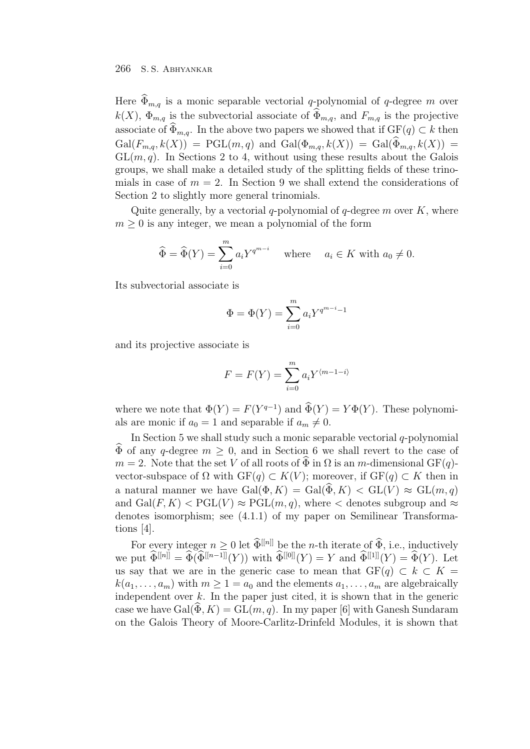Here  $\widehat{\Phi}_{m,q}$  is a monic separable vectorial q-polynomial of q-degree m over  $k(X)$ ,  $\Phi_{m,q}$  is the subvectorial associate of  $\widehat{\Phi}_{m,q}$ , and  $F_{m,q}$  is the projective associate of  $\widehat{\Phi}_{m,q}$ . In the above two papers we showed that if  $GF(q) \subset k$  then  $Gal(F_{m,q}, k(X)) = PGL(m,q)$  and  $Gal(\Phi_{m,q}, k(X)) = Gal(\widehat{\Phi}_{m,q}, k(X)) =$  $GL(m, q)$ . In Sections 2 to 4, without using these results about the Galois groups, we shall make a detailed study of the splitting fields of these trinomials in case of  $m = 2$ . In Section 9 we shall extend the considerations of Section 2 to slightly more general trinomials.

Quite generally, by a vectorial  $q$ -polynomial of  $q$ -degree m over K, where  $m \geq 0$  is any integer, we mean a polynomial of the form

$$
\widehat{\Phi} = \widehat{\Phi}(Y) = \sum_{i=0}^{m} a_i Y^{q^{m-i}} \quad \text{where} \quad a_i \in K \text{ with } a_0 \neq 0.
$$

Its subvectorial associate is

$$
\Phi = \Phi(Y) = \sum_{i=0}^{m} a_i Y^{q^{m-i}-1}
$$

and its projective associate is

$$
F = F(Y) = \sum_{i=0}^{m} a_i Y^{\langle m-1-i \rangle}
$$

where we note that  $\Phi(Y) = F(Y^{q-1})$  and  $\widehat{\Phi}(Y) = Y\Phi(Y)$ . These polynomials are monic if  $a_0 = 1$  and separable if  $a_m \neq 0$ .

In Section 5 we shall study such a monic separable vectorial  $q$ -polynomial  $\Phi$  of any q-degree  $m \geq 0$ , and in Section 6 we shall revert to the case of  $m = 2$ . Note that the set V of all roots of  $\widehat{\Phi}$  in  $\Omega$  is an *m*-dimensional GF(q)vector-subspace of  $\Omega$  with  $GF(q) \subset K(V)$ ; moreover, if  $GF(q) \subset K$  then in a natural manner we have  $Gal(\Phi, K) = Gal(\Phi, K) < GL(V) \approx GL(m, q)$ and  $Gal(F, K) < PGL(V) \approx PGL(m, q)$ , where  $\lt$  denotes subgroup and  $\approx$ denotes isomorphism; see (4.1.1) of my paper on Semilinear Transformations [4].

For every integer  $n \geq 0$  let  $\widehat{\Phi}^{[[n]]}$  be the *n*-th iterate of  $\widehat{\Phi}$ , i.e., inductively we put  $\widehat{\Phi}^{[[n]]} = \widehat{\Phi}(\widehat{\Phi}^{[[n-1]]}(Y))$  with  $\widehat{\Phi}^{[[0]]}(Y) = Y$  and  $\widehat{\Phi}^{[[1]]}(Y) = \widehat{\Phi}(Y)$ . Let us say that we are in the generic case to mean that  $GF(q) \subset k \subset K =$  $k(a_1,...,a_m)$  with  $m \geq 1 = a_0$  and the elements  $a_1,...,a_m$  are algebraically independent over  $k$ . In the paper just cited, it is shown that in the generic case we have  $Gal(\Phi, K) = GL(m, q)$ . In my paper [6] with Ganesh Sundaram on the Galois Theory of Moore-Carlitz-Drinfeld Modules, it is shown that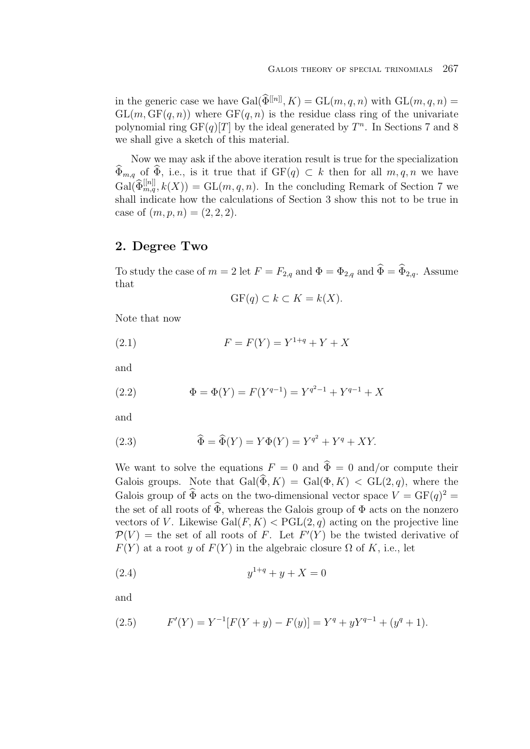in the generic case we have  $Gal(\widehat{\Phi}^{[[n]]}, K) = GL(m, q, n)$  with  $GL(m, q, n) =$  $GL(m, GF(q, n))$  where  $GF(q, n)$  is the residue class ring of the univariate polynomial ring  $GF(q)[T]$  by the ideal generated by  $T<sup>n</sup>$ . In Sections 7 and 8 we shall give a sketch of this material.

Now we may ask if the above iteration result is true for the specialization  $\widehat{\Phi}_{m,q}$  of  $\widehat{\Phi}$ , i.e., is it true that if  $GF(q) \subset k$  then for all  $m, q, n$  we have  $Gal(\widehat{\Phi}_{m,q}^{[[n]]}, k(X)) = GL(m,q,n)$ . In the concluding Remark of Section 7 we shall indicate how the calculations of Section 3 show this not to be true in case of  $(m, p, n) = (2, 2, 2).$ 

### **2. Degree Two**

To study the case of  $m = 2$  let  $F = F_{2,q}$  and  $\Phi = \Phi_{2,q}$  and  $\widehat{\Phi} = \widehat{\Phi}_{2,q}$ . Assume that

$$
GF(q) \subset k \subset K = k(X).
$$

Note that now

(2.1) 
$$
F = F(Y) = Y^{1+q} + Y + X
$$

and

(2.2) 
$$
\Phi = \Phi(Y) = F(Y^{q-1}) = Y^{q^2-1} + Y^{q-1} + X
$$

and

(2.3) 
$$
\widehat{\Phi} = \widehat{\Phi}(Y) = Y\Phi(Y) = Y^{q^2} + Y^q + XY.
$$

We want to solve the equations  $F = 0$  and  $\hat{\Phi} = 0$  and/or compute their Galois groups. Note that  $Gal(\widehat{\Phi}, K) = Gal(\Phi, K) < GL(2,q)$ , where the Galois group of  $\widehat{\Phi}$  acts on the two-dimensional vector space  $V = GF(q)^2$ the set of all roots of  $\widehat{\Phi}$ , whereas the Galois group of  $\Phi$  acts on the nonzero vectors of V. Likewise  $Gal(F, K) < PGL(2, q)$  acting on the projective line  $\mathcal{P}(V) =$  the set of all roots of F. Let  $F'(Y)$  be the twisted derivative of  $F(Y)$  at a root y of  $F(Y)$  in the algebraic closure  $\Omega$  of K, i.e., let

(2.4) 
$$
y^{1+q} + y + X = 0
$$

and

(2.5) 
$$
F'(Y) = Y^{-1}[F(Y + y) - F(y)] = Y^{q} + yY^{q-1} + (y^{q} + 1).
$$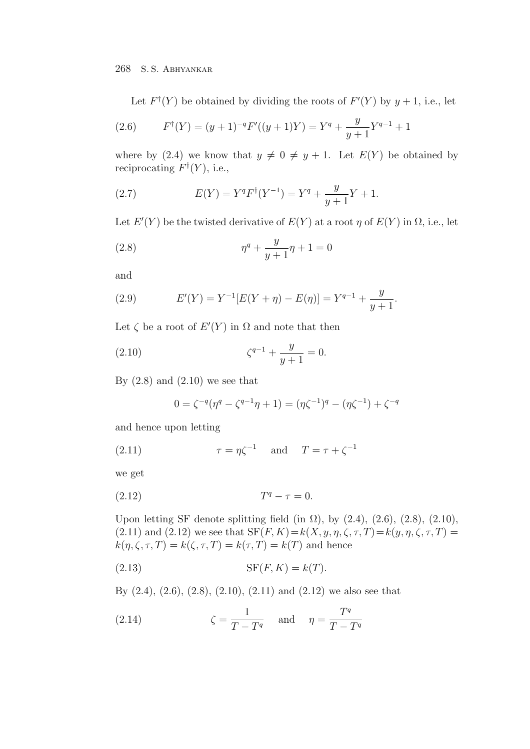Let  $F^{\dagger}(Y)$  be obtained by dividing the roots of  $F'(Y)$  by  $y + 1$ , i.e., let

(2.6) 
$$
F^{\dagger}(Y) = (y+1)^{-q} F'((y+1)Y) = Y^q + \frac{y}{y+1} Y^{q-1} + 1
$$

where by (2.4) we know that  $y \neq 0 \neq y+1$ . Let  $E(Y)$  be obtained by reciprocating  $F^{\dagger}(Y)$ , i.e.,

(2.7) 
$$
E(Y) = Y^q F^{\dagger} (Y^{-1}) = Y^q + \frac{y}{y+1} Y + 1.
$$

Let  $E'(Y)$  be the twisted derivative of  $E(Y)$  at a root  $\eta$  of  $E(Y)$  in  $\Omega$ , i.e., let

(2.8) 
$$
\eta^{q} + \frac{y}{y+1}\eta + 1 = 0
$$

and

(2.9) 
$$
E'(Y) = Y^{-1}[E(Y + \eta) - E(\eta)] = Y^{q-1} + \frac{y}{y+1}.
$$

Let  $\zeta$  be a root of  $E'(Y)$  in  $\Omega$  and note that then

(2.10) 
$$
\zeta^{q-1} + \frac{y}{y+1} = 0.
$$

By  $(2.8)$  and  $(2.10)$  we see that

$$
0 = \zeta^{-q}(\eta^q - \zeta^{q-1}\eta + 1) = (\eta\zeta^{-1})^q - (\eta\zeta^{-1}) + \zeta^{-q}
$$

and hence upon letting

(2.11) 
$$
\tau = \eta \zeta^{-1} \quad \text{and} \quad T = \tau + \zeta^{-1}
$$

we get

$$
(2.12) \t\t Tq - \tau = 0.
$$

Upon letting SF denote splitting field (in  $\Omega$ ), by (2.4), (2.6), (2.8), (2.10), (2.11) and (2.12) we see that  $SF(F, K) = k(X, y, \eta, \zeta, \tau, T) = k(y, \eta, \zeta, \tau, T) =$  $k(\eta, \zeta, \tau, T) = k(\zeta, \tau, T) = k(\tau, T) = k(T)$  and hence

$$
(2.13) \t\t \tSF(F, K) = k(T).
$$

By  $(2.4)$ ,  $(2.6)$ ,  $(2.8)$ ,  $(2.10)$ ,  $(2.11)$  and  $(2.12)$  we also see that

(2.14) 
$$
\zeta = \frac{1}{T - T^q} \quad \text{and} \quad \eta = \frac{T^q}{T - T^q}
$$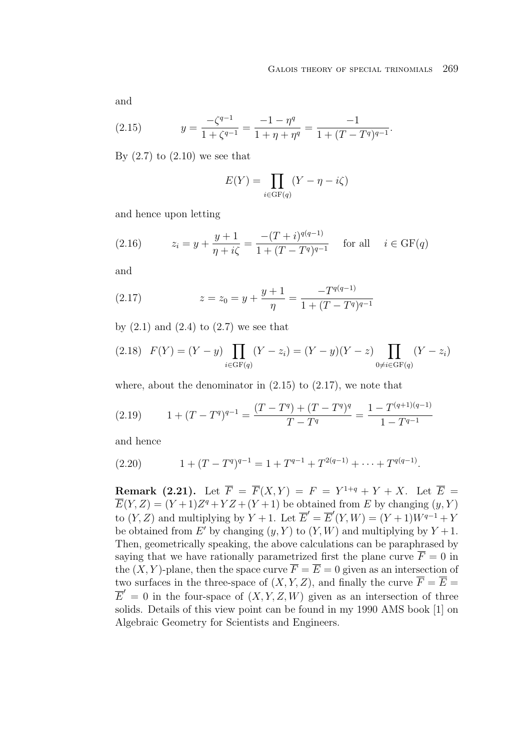and

(2.15) 
$$
y = \frac{-\zeta^{q-1}}{1 + \zeta^{q-1}} = \frac{-1 - \eta^q}{1 + \eta + \eta^q} = \frac{-1}{1 + (T - T^q)^{q-1}}.
$$

By  $(2.7)$  to  $(2.10)$  we see that

$$
E(Y) = \prod_{i \in \text{GF}(q)} (Y - \eta - i\zeta)
$$

and hence upon letting

(2.16) 
$$
z_i = y + \frac{y+1}{\eta + i\zeta} = \frac{-(T+i)^{q(q-1)}}{1 + (T-T^q)^{q-1}} \quad \text{for all} \quad i \in \text{GF}(q)
$$

and

(2.17) 
$$
z = z_0 = y + \frac{y+1}{\eta} = \frac{-T^{q(q-1)}}{1 + (T - T^q)^{q-1}}
$$

by  $(2.1)$  and  $(2.4)$  to  $(2.7)$  we see that

$$
(2.18) \quad F(Y) = (Y - y) \prod_{i \in \text{GF}(q)} (Y - z_i) = (Y - y)(Y - z) \prod_{0 \neq i \in \text{GF}(q)} (Y - z_i)
$$

where, about the denominator in  $(2.15)$  to  $(2.17)$ , we note that

$$
(2.19) \qquad 1 + (T - T^q)^{q-1} = \frac{(T - T^q) + (T - T^q)^q}{T - T^q} = \frac{1 - T^{(q+1)(q-1)}}{1 - T^{q-1}}
$$

and hence

(2.20) 
$$
1 + (T - T^q)^{q-1} = 1 + T^{q-1} + T^{2(q-1)} + \cdots + T^{q(q-1)}.
$$

**Remark (2.21).** Let  $\overline{F} = \overline{F}(X, Y) = F = Y^{1+q} + Y + X$ . Let  $\overline{E} =$  $\overline{E}(Y,Z)=(Y + 1)Z^{q}+YZ+(Y+1)$  be obtained from E by changing  $(y, Y)$ to  $(Y, Z)$  and multiplying by  $Y + 1$ . Let  $\overline{E}' = \overline{E}'(Y, W) = (Y + 1)W^{q-1} + Y$ be obtained from E' by changing  $(y, Y)$  to  $(Y, W)$  and multiplying by  $Y + 1$ . Then, geometrically speaking, the above calculations can be paraphrased by saying that we have rationally parametrized first the plane curve  $\overline{F} = 0$  in the  $(X, Y)$ -plane, then the space curve  $\overline{F} = \overline{E} = 0$  given as an intersection of two surfaces in the three-space of  $(X, Y, Z)$ , and finally the curve  $\overline{F} = \overline{E}$  =  $\overline{E}' = 0$  in the four-space of  $(X, Y, Z, W)$  given as an intersection of three solids. Details of this view point can be found in my 1990 AMS book [1] on Algebraic Geometry for Scientists and Engineers.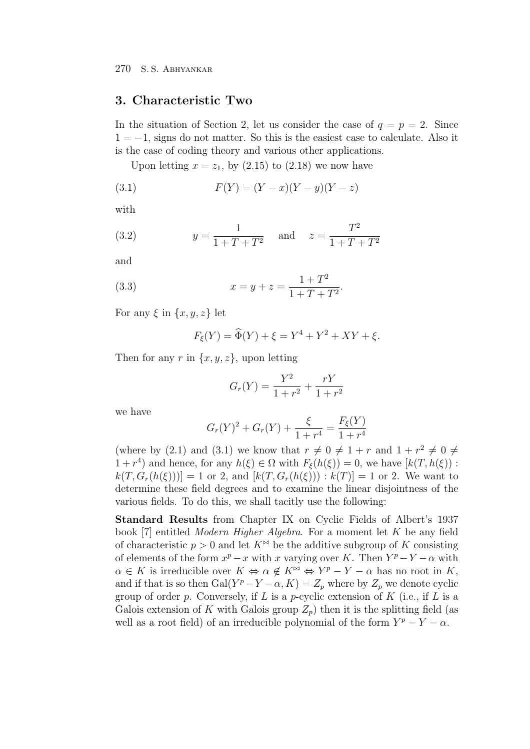### **3. Characteristic Two**

In the situation of Section 2, let us consider the case of  $q = p = 2$ . Since  $1 = -1$ , signs do not matter. So this is the easiest case to calculate. Also it is the case of coding theory and various other applications.

Upon letting  $x = z_1$ , by  $(2.15)$  to  $(2.18)$  we now have

(3.1) 
$$
F(Y) = (Y - x)(Y - y)(Y - z)
$$

with

(3.2) 
$$
y = \frac{1}{1 + T + T^2}
$$
 and  $z = \frac{T^2}{1 + T + T^2}$ 

and

(3.3) 
$$
x = y + z = \frac{1 + T^2}{1 + T + T^2}.
$$

For any  $\xi$  in  $\{x, y, z\}$  let

$$
F_{\xi}(Y) = \widehat{\Phi}(Y) + \xi = Y^4 + Y^2 + XY + \xi.
$$

Then for any r in  $\{x, y, z\}$ , upon letting

$$
G_r(Y) = \frac{Y^2}{1+r^2} + \frac{rY}{1+r^2}
$$

we have

$$
G_r(Y)^2 + G_r(Y) + \frac{\xi}{1 + r^4} = \frac{F_{\xi}(Y)}{1 + r^4}
$$

(where by (2.1) and (3.1) we know that  $r \neq 0 \neq 1+r$  and  $1+r^2 \neq 0 \neq$  $1 + r^4$ ) and hence, for any  $h(\xi) \in \Omega$  with  $F_{\xi}(h(\xi)) = 0$ , we have  $[k(T, h(\xi))$ :  $k(T, G_r(h(\xi))) = 1$  or 2, and  $[k(T, G_r(h(\xi))): k(T)] = 1$  or 2. We want to determine these field degrees and to examine the linear disjointness of the various fields. To do this, we shall tacitly use the following:

**Standard Results** from Chapter IX on Cyclic Fields of Albert's 1937 book [7] entitled *Modern Higher Algebra*. For a moment let K be any field of characteristic  $p > 0$  and let  $K^{\bowtie}$  be the additive subgroup of K consisting of elements of the form  $x^p - x$  with x varying over K. Then  $Y^p - Y - \alpha$  with  $\alpha \in K$  is irreducible over  $K \Leftrightarrow \alpha \notin K^{\bowtie} \Leftrightarrow Y^p - Y - \alpha$  has no root in K, and if that is so then Gal( $Y^p - Y - \alpha$ ,  $K$ ) =  $Z_p$  where by  $Z_p$  we denote cyclic group of order p. Conversely, if L is a p-cyclic extension of K (i.e., if L is a Galois extension of K with Galois group  $Z_p$ ) then it is the splitting field (as well as a root field) of an irreducible polynomial of the form  $Y^p - Y - \alpha$ .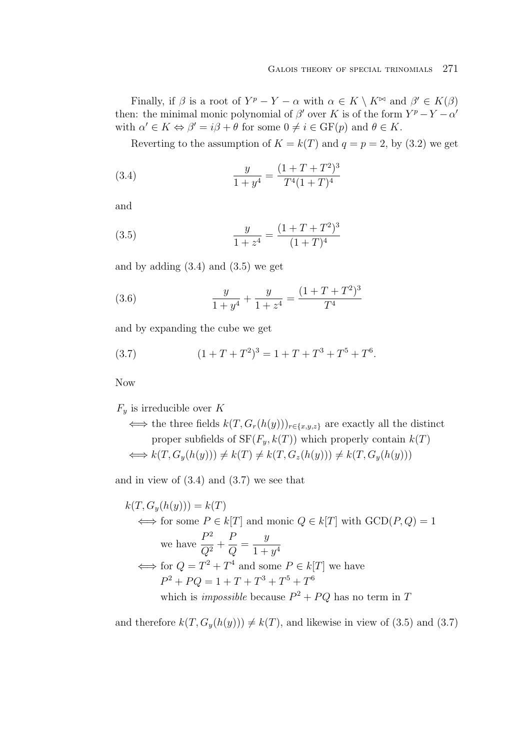Finally, if  $\beta$  is a root of  $Y^p - Y - \alpha$  with  $\alpha \in K \setminus K^{\bowtie}$  and  $\beta' \in K(\beta)$ then: the minimal monic polynomial of  $\beta'$  over K is of the form  $Y^p - Y - \alpha'$ with  $\alpha' \in K \Leftrightarrow \beta' = i\beta + \theta$  for some  $0 \neq i \in \text{GF}(p)$  and  $\theta \in K$ .

Reverting to the assumption of  $K = k(T)$  and  $q = p = 2$ , by (3.2) we get

(3.4) 
$$
\frac{y}{1+y^4} = \frac{(1+T+T^2)^3}{T^4(1+T)^4}
$$

and

(3.5) 
$$
\frac{y}{1+z^4} = \frac{(1+T+T^2)^3}{(1+T)^4}
$$

and by adding  $(3.4)$  and  $(3.5)$  we get

(3.6) 
$$
\frac{y}{1+y^4} + \frac{y}{1+z^4} = \frac{(1+T+T^2)^3}{T^4}
$$

and by expanding the cube we get

(3.7) 
$$
(1+T+T^2)^3 = 1+T+T^3+T^5+T^6.
$$

Now

 $F_y$  is irreducible over K

 $\iff$  the three fields  $k(T, G_r(h(y)))_{r \in \{x, y, z\}}$  are exactly all the distinct proper subfields of  $SF(F_y, k(T))$  which properly contain  $k(T)$  $\Longleftrightarrow k(T, G_v(h(y))) \neq k(T) \neq k(T, G_z(h(y))) \neq k(T, G_v(h(y)))$ 

and in view of  $(3.4)$  and  $(3.7)$  we see that

$$
k(T, G_y(h(y))) = k(T)
$$
  
\n
$$
\iff \text{for some } P \in k[T] \text{ and monic } Q \in k[T] \text{ with GCD}(P, Q) = 1
$$
  
\nwe have 
$$
\frac{P^2}{Q^2} + \frac{P}{Q} = \frac{y}{1 + y^4}
$$
  
\n
$$
\iff \text{for } Q = T^2 + T^4 \text{ and some } P \in k[T] \text{ we have}
$$
  
\n
$$
P^2 + PQ = 1 + T + T^3 + T^5 + T^6
$$
  
\nwhich is *impossible* because  $P^2 + PQ$  has no term in T

and therefore  $k(T, G_y(h(y))) \neq k(T)$ , and likewise in view of (3.5) and (3.7)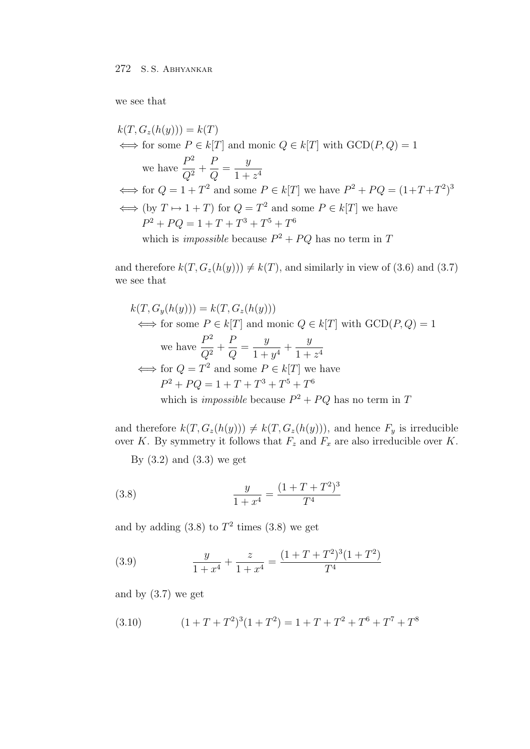we see that

$$
k(T, G_z(h(y))) = k(T)
$$
  
\n
$$
\iff \text{for some } P \in k[T] \text{ and monic } Q \in k[T] \text{ with GCD}(P, Q) = 1
$$
  
\nwe have 
$$
\frac{P^2}{Q^2} + \frac{P}{Q} = \frac{y}{1 + z^4}
$$
  
\n
$$
\iff \text{for } Q = 1 + T^2 \text{ and some } P \in k[T] \text{ we have } P^2 + PQ = (1 + T + T^2)^3
$$
  
\n
$$
\iff (\text{by } T \mapsto 1 + T) \text{ for } Q = T^2 \text{ and some } P \in k[T] \text{ we have}
$$
  
\n
$$
P^2 + PQ = 1 + T + T^3 + T^5 + T^6
$$
  
\nwhich is *impossible* because  $P^2 + PQ$  has no term in T

and therefore  $k(T, G_z(h(y))) \neq k(T)$ , and similarly in view of (3.6) and (3.7) we see that

$$
k(T, G_y(h(y))) = k(T, G_z(h(y)))
$$
  
\n
$$
\iff \text{for some } P \in k[T] \text{ and monic } Q \in k[T] \text{ with GCD}(P, Q) = 1
$$
  
\nwe have 
$$
\frac{P^2}{Q^2} + \frac{P}{Q} = \frac{y}{1+y^4} + \frac{y}{1+z^4}
$$
  
\n
$$
\iff \text{for } Q = T^2 \text{ and some } P \in k[T] \text{ we have}
$$
  
\n
$$
P^2 + PQ = 1 + T + T^3 + T^5 + T^6
$$
  
\nwhich is *impossible* because  $P^2 + PQ$  has no term in T

and therefore  $k(T, G_z(h(y))) \neq k(T, G_z(h(y)))$ , and hence  $F_y$  is irreducible over K. By symmetry it follows that  $F_z$  and  $F_x$  are also irreducible over K.

By  $(3.2)$  and  $(3.3)$  we get

(3.8) 
$$
\frac{y}{1+x^4} = \frac{(1+T+T^2)^3}{T^4}
$$

and by adding  $(3.8)$  to  $T^2$  times  $(3.8)$  we get

(3.9) 
$$
\frac{y}{1+x^4} + \frac{z}{1+x^4} = \frac{(1+T+T^2)^3(1+T^2)}{T^4}
$$

and by (3.7) we get

(3.10) 
$$
(1+T+T^2)^3(1+T^2) = 1+T+T^2+T^6+T^7+T^8
$$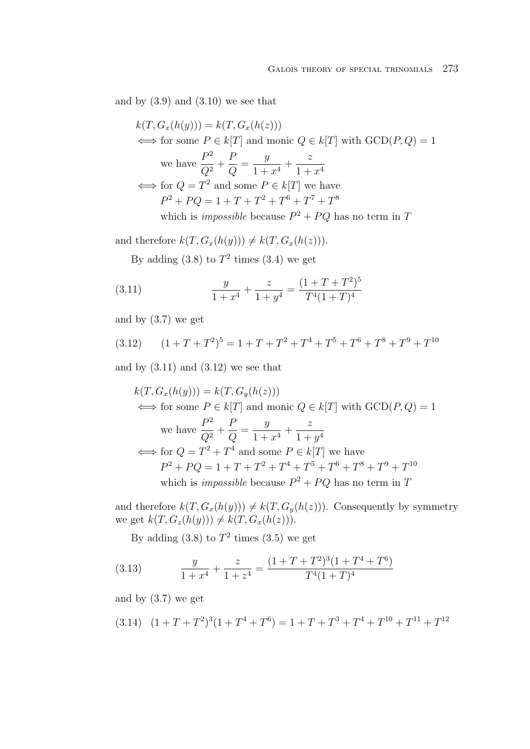and by  $(3.9)$  and  $(3.10)$  we see that

$$
k(T, G_x(h(y))) = k(T, G_x(h(z)))
$$
  
\n
$$
\iff \text{for some } P \in k[T] \text{ and monic } Q \in k[T] \text{ with GCD}(P, Q) = 1
$$
  
\nwe have 
$$
\frac{P^2}{Q^2} + \frac{P}{Q} = \frac{y}{1 + x^4} + \frac{z}{1 + x^4}
$$
  
\n
$$
\iff \text{for } Q = T^2 \text{ and some } P \in k[T] \text{ we have}
$$
  
\n
$$
P^2 + PQ = 1 + T + T^2 + T^6 + T^7 + T^8
$$
  
\nwhich is *impossible* because  $P^2 + PQ$  has no term in T

and therefore  $k(T, G_x(h(y))) \neq k(T, G_x(h(z))).$ 

By adding  $(3.8)$  to  $T^2$  times  $(3.4)$  we get

(3.11) 
$$
\frac{y}{1+x^4} + \frac{z}{1+y^4} = \frac{(1+T+T^2)^5}{T^4(1+T)^4}
$$

and by (3.7) we get

(3.12) 
$$
(1+T+T^2)^5 = 1+T+T^2+T^4+T^5+T^6+T^8+T^9+T^{10}
$$

and by  $(3.11)$  and  $(3.12)$  we see that

$$
k(T, G_x(h(y))) = k(T, G_y(h(z)))
$$
  
\n
$$
\iff \text{for some } P \in k[T] \text{ and monic } Q \in k[T] \text{ with GCD}(P, Q) = 1
$$
  
\nwe have 
$$
\frac{P^2}{Q^2} + \frac{P}{Q} = \frac{y}{1 + x^4} + \frac{z}{1 + y^4}
$$
  
\n
$$
\iff \text{for } Q = T^2 + T^4 \text{ and some } P \in k[T] \text{ we have}
$$
  
\n
$$
P^2 + PQ = 1 + T + T^2 + T^4 + T^5 + T^6 + T^8 + T^9 + T^{10}
$$
  
\nwhich is *impossible* because  $P^2 + PQ$  has no term in T

and therefore  $k(T, G_x(h(y))) \neq k(T, G_y(h(z)))$ . Consequently by symmetry we get  $k(T, G_z(h(y))) \neq k(T, G_x(h(z))).$ 

By adding  $(3.8)$  to  $T^2$  times  $(3.5)$  we get

(3.13) 
$$
\frac{y}{1+x^4} + \frac{z}{1+z^4} = \frac{(1+T+T^2)^3(1+T^4+T^6)}{T^4(1+T)^4}
$$

and by (3.7) we get

$$
(3.14) \quad (1+T+T^2)^3(1+T^4+T^6) = 1+T+T^3+T^4+T^{10}+T^{11}+T^{12}
$$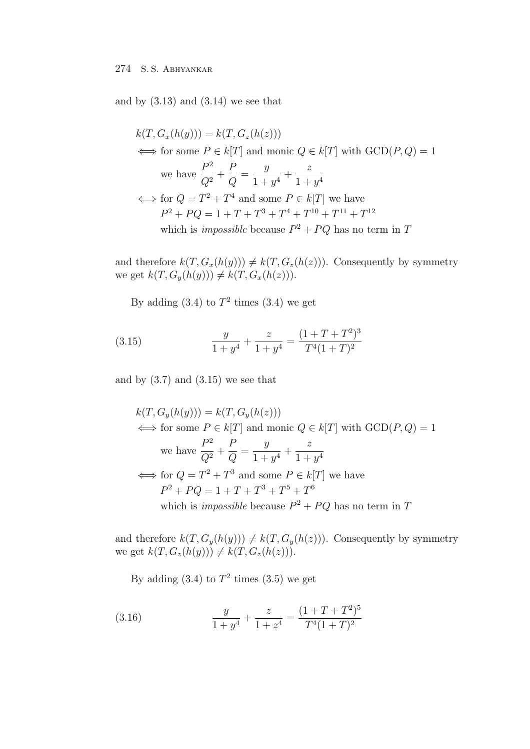and by  $(3.13)$  and  $(3.14)$  we see that

 $k(T, G_x(h(y))) = k(T, G_z(h(z)))$  $\iff$  for some  $P \in k[T]$  and monic  $Q \in k[T]$  with  $\text{GCD}(P,Q) = 1$ we have  $\frac{P^2}{Q^2}$  +  $\frac{P}{Q} = \frac{y}{1+y^4} +$ z  $\frac{1}{1+y^4}$  $\Longleftrightarrow$  for  $Q = T^2 + T^4$  and some  $P \in k[T]$  we have  $P^2+PQ=1+T+T^3+T^4+T^{10}+T^{11}+T^{12}$ which is *impossible* because  $P^2 + PQ$  has no term in T

and therefore  $k(T, G_x(h(y))) \neq k(T, G_z(h(z)))$ . Consequently by symmetry we get  $k(T, G_y(h(y))) \neq k(T, G_x(h(z))).$ 

By adding  $(3.4)$  to  $T^2$  times  $(3.4)$  we get

(3.15) 
$$
\frac{y}{1+y^4} + \frac{z}{1+y^4} = \frac{(1+T+T^2)^3}{T^4(1+T)^2}
$$

and by  $(3.7)$  and  $(3.15)$  we see that

$$
k(T, G_y(h(y))) = k(T, G_y(h(z)))
$$
  
\n
$$
\iff \text{for some } P \in k[T] \text{ and monic } Q \in k[T] \text{ with GCD}(P, Q) = 1
$$
  
\nwe have 
$$
\frac{P^2}{Q^2} + \frac{P}{Q} = \frac{y}{1 + y^4} + \frac{z}{1 + y^4}
$$
  
\n
$$
\iff \text{for } Q = T^2 + T^3 \text{ and some } P \in k[T] \text{ we have}
$$
  
\n
$$
P^2 + PQ = 1 + T + T^3 + T^5 + T^6
$$
  
\nwhich is *impossible* because  $P^2 + PQ$  has no term in T

and therefore  $k(T, G_y(h(y))) \neq k(T, G_y(h(z)))$ . Consequently by symmetry we get  $k(T, G_z(h(y))) \neq k(T, G_z(h(z)))$ .

By adding  $(3.4)$  to  $T^2$  times  $(3.5)$  we get

(3.16) 
$$
\frac{y}{1+y^4} + \frac{z}{1+z^4} = \frac{(1+T+T^2)^5}{T^4(1+T)^2}
$$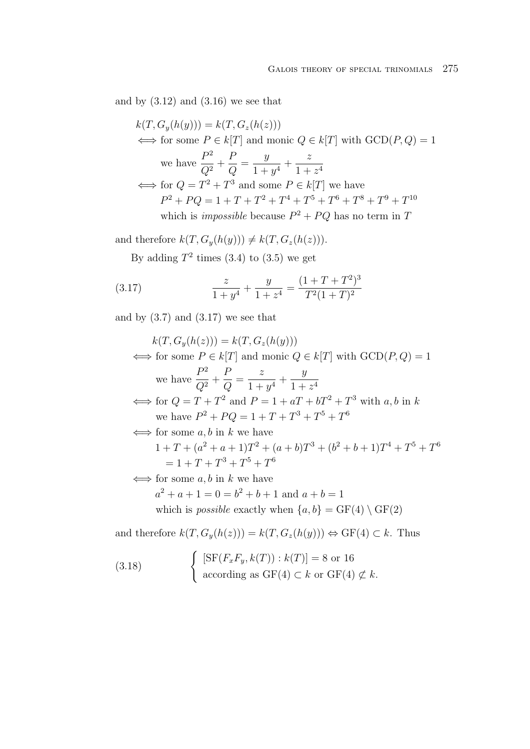and by  $(3.12)$  and  $(3.16)$  we see that

 $k(T, G_y(h(y))) = k(T, G_z(h(z)))$  $\iff$  for some  $P \in k[T]$  and monic  $Q \in k[T]$  with  $\text{GCD}(P, Q) = 1$ we have  $\frac{P^2}{Q^2}$  +  $\frac{P}{Q} = \frac{y}{1+y^4} +$ z  $\frac{1 + z^4}{ }$  $\iff$  for  $Q = T^2 + T^3$  and some  $P \in k[T]$  we have  $P^2 + PQ = 1 + T + T^2 + T^4 + T^5 + T^6 + T^8 + T^9 + T^{10}$ which is *impossible* because  $P^2 + PQ$  has no term in T

and therefore  $k(T, G_y(h(y))) \neq k(T, G_z(h(z))).$ 

By adding  $T^2$  times (3.4) to (3.5) we get

(3.17) 
$$
\frac{z}{1+y^4} + \frac{y}{1+z^4} = \frac{(1+T+T^2)^3}{T^2(1+T)^2}
$$

and by  $(3.7)$  and  $(3.17)$  we see that

$$
k(T, G_y(h(z))) = k(T, G_z(h(y)))
$$
  
\n
$$
\iff \text{for some } P \in k[T] \text{ and monic } Q \in k[T] \text{ with GCD}(P, Q) = 1
$$
  
\nwe have  $\frac{P^2}{Q^2} + \frac{P}{Q} = \frac{z}{1 + y^4} + \frac{y}{1 + z^4}$   
\n
$$
\iff \text{for } Q = T + T^2 \text{ and } P = 1 + aT + bT^2 + T^3 \text{ with } a, b \text{ in } k
$$
  
\nwe have  $P^2 + PQ = 1 + T + T^3 + T^5 + T^6$   
\n
$$
\iff \text{for some } a, b \text{ in } k \text{ we have}
$$
  
\n
$$
1 + T + (a^2 + a + 1)T^2 + (a + b)T^3 + (b^2 + b + 1)T^4 + T^5 + T^6
$$
  
\n
$$
= 1 + T + T^3 + T^5 + T^6
$$
  
\n
$$
\iff \text{for some } a, b \text{ in } k \text{ we have}
$$
  
\n
$$
a^2 + a + 1 = 0 = b^2 + b + 1 \text{ and } a + b = 1
$$

which is *possible* exactly when  $\{a, b\} = \text{GF}(4) \setminus \text{GF}(2)$ 

and therefore  $k(T, G_y(h(z))) = k(T, G_z(h(y))) \Leftrightarrow GF(4) \subset k$ . Thus

(3.18) 
$$
\begin{cases} [\text{SF}(F_x F_y, k(T)) : k(T)] = 8 \text{ or } 16 \\ \text{according as GF}(4) \subset k \text{ or GF}(4) \not\subset k. \end{cases}
$$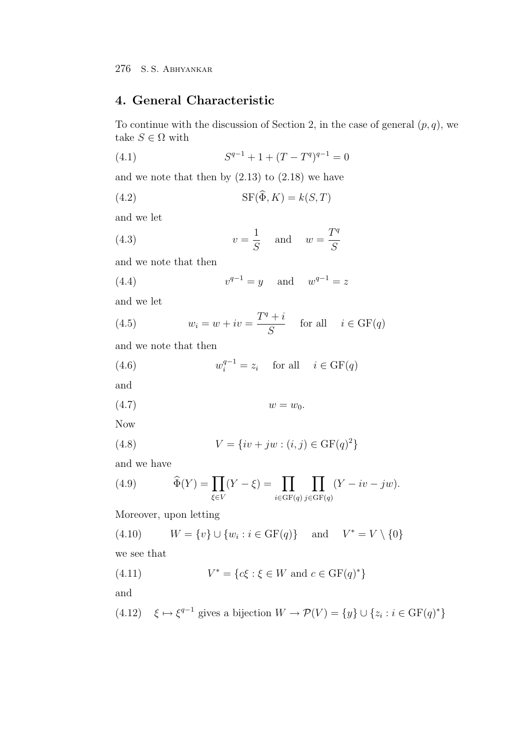# **4. General Characteristic**

To continue with the discussion of Section 2, in the case of general  $(p, q)$ , we take  $S \in \Omega$  with

(4.1) 
$$
S^{q-1} + 1 + (T - T^q)^{q-1} = 0
$$

and we note that then by  $(2.13)$  to  $(2.18)$  we have

(4.2) 
$$
SF(\widehat{\Phi}, K) = k(S, T)
$$

and we let

(4.3) 
$$
v = \frac{1}{S} \quad \text{and} \quad w = \frac{T^q}{S}
$$

and we note that then

(4.4) 
$$
v^{q-1} = y
$$
 and  $w^{q-1} = z$ 

and we let

(4.5) 
$$
w_i = w + iv = \frac{T^q + i}{S} \quad \text{for all} \quad i \in \text{GF}(q)
$$

and we note that then

(4.6) 
$$
w_i^{q-1} = z_i \quad \text{for all} \quad i \in \text{GF}(q)
$$

and

$$
(4.7) \t\t w = w_0.
$$

Now

(4.8) 
$$
V = \{iv + jw : (i, j) \in \text{GF}(q)^2\}
$$

and we have

(4.9) 
$$
\widehat{\Phi}(Y) = \prod_{\xi \in V} (Y - \xi) = \prod_{i \in {\rm GF}(q)} \prod_{j \in {\rm GF}(q)} (Y - iv - jw).
$$

Moreover, upon letting

(4.10) 
$$
W = \{v\} \cup \{w_i : i \in \text{GF}(q)\} \text{ and } V^* = V \setminus \{0\}
$$

we see that

(4.11) 
$$
V^* = \{c\xi : \xi \in W \text{ and } c \in \mathrm{GF}(q)^*\}
$$

and

(4.12) 
$$
\xi \mapsto \xi^{q-1}
$$
 gives a bijection  $W \to \mathcal{P}(V) = \{y\} \cup \{z_i : i \in \text{GF}(q)^*\}$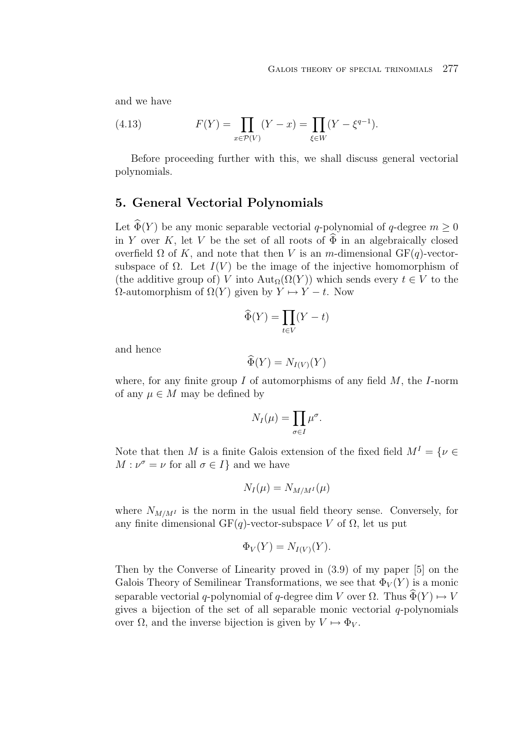and we have

(4.13) 
$$
F(Y) = \prod_{x \in \mathcal{P}(V)} (Y - x) = \prod_{\xi \in W} (Y - \xi^{q-1}).
$$

Before proceeding further with this, we shall discuss general vectorial polynomials.

### **5. General Vectorial Polynomials**

Let  $\widehat{\Phi}(Y)$  be any monic separable vectorial q-polynomial of q-degree  $m \geq 0$ in Y over K, let V be the set of all roots of  $\widehat{\Phi}$  in an algebraically closed overfield  $\Omega$  of K, and note that then V is an m-dimensional GF(q)-vectorsubspace of  $\Omega$ . Let  $I(V)$  be the image of the injective homomorphism of (the additive group of) V into  $\text{Aut}_{\Omega}(\Omega(Y))$  which sends every  $t \in V$  to the  $Ω$ -automorphism of  $Ω(Y)$  given by  $Y \mapsto Y - t$ . Now

$$
\widehat{\Phi}(Y) = \prod_{t \in V} (Y - t)
$$

and hence

$$
\widehat{\Phi}(Y) = N_{I(V)}(Y)
$$

where, for any finite group  $I$  of automorphisms of any field  $M$ , the  $I$ -norm of any  $\mu \in M$  may be defined by

$$
N_I(\mu) = \prod_{\sigma \in I} \mu^{\sigma}.
$$

Note that then M is a finite Galois extension of the fixed field  $M^I = \{ \nu \in \mathbb{R}^d : |\nu| \leq \nu \}$  $M: \nu^{\sigma} = \nu$  for all  $\sigma \in I$  and we have

$$
N_I(\mu) = N_{M/M^I}(\mu)
$$

where  $N_{M/M^I}$  is the norm in the usual field theory sense. Conversely, for any finite dimensional GF(q)-vector-subspace V of  $\Omega$ , let us put

$$
\Phi_V(Y) = N_{I(V)}(Y).
$$

Then by the Converse of Linearity proved in (3.9) of my paper [5] on the Galois Theory of Semilinear Transformations, we see that  $\Phi_V(Y)$  is a monic separable vectorial q-polynomial of q-degree dim V over  $\Omega$ . Thus  $\Phi(Y) \mapsto V$ gives a bijection of the set of all separable monic vectorial  $q$ -polynomials over  $\Omega$ , and the inverse bijection is given by  $V \mapsto \Phi_V$ .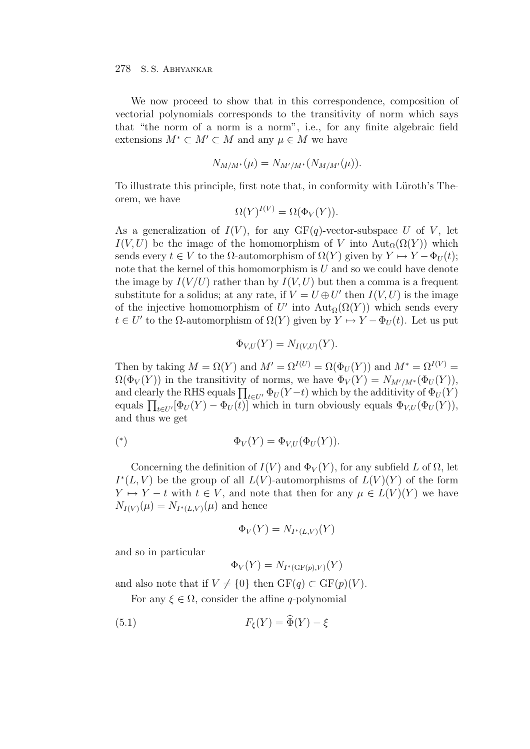We now proceed to show that in this correspondence, composition of vectorial polynomials corresponds to the transitivity of norm which says that "the norm of a norm is a norm", i.e., for any finite algebraic field extensions  $M^* \subset M' \subset M$  and any  $\mu \in M$  we have

$$
N_{M/M^*}(\mu) = N_{M'/M^*}(N_{M/M'}(\mu)).
$$

To illustrate this principle, first note that, in conformity with Lüroth's Theorem, we have

$$
\Omega(Y)^{I(V)} = \Omega(\Phi_V(Y)).
$$

As a generalization of  $I(V)$ , for any  $GF(q)$ -vector-subspace U of V, let  $I(V,U)$  be the image of the homomorphism of V into  $\text{Aut}_{\Omega}(\Omega(Y))$  which sends every  $t \in V$  to the  $\Omega$ -automorphism of  $\Omega(Y)$  given by  $Y \mapsto Y - \Phi_U(t)$ ; note that the kernel of this homomorphism is  $U$  and so we could have denote the image by  $I(V/U)$  rather than by  $I(V, U)$  but then a comma is a frequent substitute for a solidus; at any rate, if  $V = U \oplus U'$  then  $I(V, U)$  is the image of the injective homomorphism of U' into  $\text{Aut}_{\Omega}(\Omega(Y))$  which sends every  $t \in U'$  to the  $\Omega$ -automorphism of  $\Omega(Y)$  given by  $Y \mapsto Y - \Phi_U(t)$ . Let us put

$$
\Phi_{V,U}(Y) = N_{I(V,U)}(Y).
$$

Then by taking  $M = \Omega(Y)$  and  $M' = \Omega^{I(U)} = \Omega(\Phi_U(Y))$  and  $M^* = \Omega^{I(V)} =$  $\Omega(\Phi_V(Y))$  in the transitivity of norms, we have  $\Phi_V(Y) = N_{M'/M^*}(\Phi_U(Y)),$ and clearly the RHS equals  $\prod_{t\in U'} \Phi_U(Y-t)$  which by the additivity of  $\Phi_U(Y)$ equals  $\prod_{t\in U'} [\Phi_U(Y) - \Phi_U(t)]$  which in turn obviously equals  $\Phi_{V,U}(\Phi_U(Y)),$ and thus we get

$$
(*)\qquad \Phi_V(Y) = \Phi_{V,U}(\Phi_U(Y)).
$$

Concerning the definition of  $I(V)$  and  $\Phi_V(Y)$ , for any subfield L of  $\Omega$ , let  $I^*(L, V)$  be the group of all  $L(V)$ -automorphisms of  $L(V)(Y)$  of the form  $Y \mapsto Y - t$  with  $t \in V$ , and note that then for any  $\mu \in L(V)(Y)$  we have  $N_{I(V)}(\mu) = N_{I^*(L,V)}(\mu)$  and hence

$$
\Phi_V(Y) = N_{I^*(L,V)}(Y)
$$

and so in particular

$$
\Phi_V(Y) = N_{I^*(\mathrm{GF}(p),V)}(Y)
$$

and also note that if  $V \neq \{0\}$  then  $GF(q) \subset GF(p)(V)$ .

For any  $\xi \in \Omega$ , consider the affine *q*-polynomial

(5.1) 
$$
F_{\xi}(Y) = \widehat{\Phi}(Y) - \xi
$$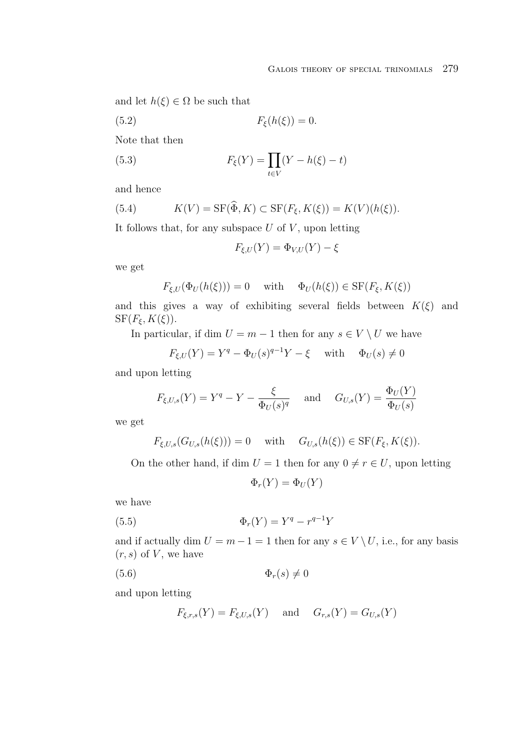and let  $h(\xi) \in \Omega$  be such that

$$
(5.2) \t\t F_{\xi}(h(\xi)) = 0.
$$

Note that then

(5.3) 
$$
F_{\xi}(Y) = \prod_{t \in V} (Y - h(\xi) - t)
$$

and hence

(5.4) 
$$
K(V) = \text{SF}(\widehat{\Phi}, K) \subset \text{SF}(F_{\xi}, K(\xi)) = K(V)(h(\xi)).
$$

It follows that, for any subspace  $U$  of  $V$ , upon letting

$$
F_{\xi,U}(Y)=\Phi_{V,U}(Y)-\xi
$$

we get

$$
F_{\xi,U}(\Phi_U(h(\xi))) = 0 \quad \text{ with } \quad \Phi_U(h(\xi)) \in \text{SF}(F_{\xi}, K(\xi))
$$

and this gives a way of exhibiting several fields between  $K(\xi)$  and  $SF(F_{\xi}, K(\xi)).$ 

In particular, if dim  $U = m - 1$  then for any  $s \in V \setminus U$  we have

$$
F_{\xi,U}(Y) = Y^q - \Phi_U(s)^{q-1}Y - \xi \quad \text{with} \quad \Phi_U(s) \neq 0
$$

and upon letting

$$
F_{\xi,U,s}(Y) = Y^q - Y - \frac{\xi}{\Phi_U(s)^q} \quad \text{and} \quad G_{U,s}(Y) = \frac{\Phi_U(Y)}{\Phi_U(s)}
$$

we get

$$
F_{\xi,U,s}(G_{U,s}(h(\xi)))=0 \quad \text{ with } \quad G_{U,s}(h(\xi))\in \text{SF}(F_{\xi},K(\xi)).
$$

On the other hand, if dim  $U = 1$  then for any  $0 \neq r \in U$ , upon letting

$$
\Phi_r(Y) = \Phi_U(Y)
$$

we have

(5.5) 
$$
\Phi_r(Y) = Y^q - r^{q-1}Y
$$

and if actually dim  $U = m - 1 = 1$  then for any  $s \in V \setminus U$ , i.e., for any basis  $(r, s)$  of V, we have

$$
(5.6) \t\t \t\t \Phi_r(s) \neq 0
$$

and upon letting

$$
F_{\xi,r,s}(Y) = F_{\xi,U,s}(Y) \quad \text{ and } \quad G_{r,s}(Y) = G_{U,s}(Y)
$$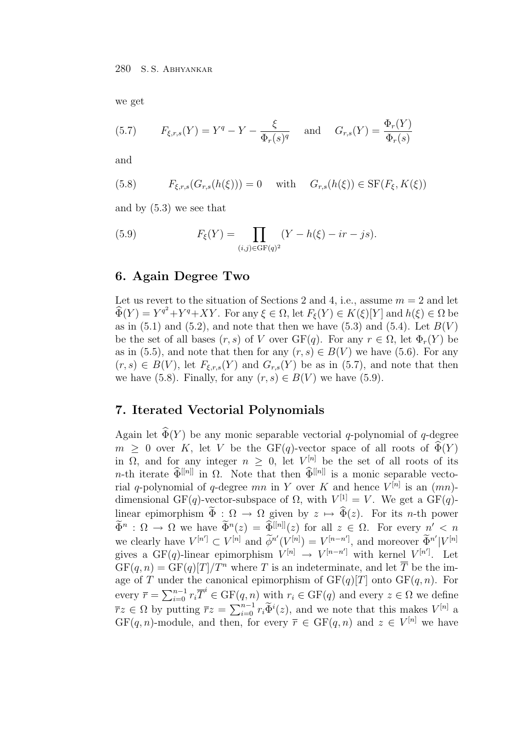we get

(5.7) 
$$
F_{\xi,r,s}(Y) = Y^q - Y - \frac{\xi}{\Phi_r(s)^q}
$$
 and  $G_{r,s}(Y) = \frac{\Phi_r(Y)}{\Phi_r(s)}$ 

and

(5.8) 
$$
F_{\xi,r,s}(G_{r,s}(h(\xi)))=0 \text{ with } G_{r,s}(h(\xi)) \in \text{SF}(F_{\xi}, K(\xi))
$$

and by (5.3) we see that

(5.9) 
$$
F_{\xi}(Y) = \prod_{(i,j)\in \text{GF}(q)^2} (Y - h(\xi) - ir - js).
$$

### **6. Again Degree Two**

Let us revert to the situation of Sections 2 and 4, i.e., assume  $m = 2$  and let  $\widehat{\Phi}(Y) = Y^{q^2} + Y^q + XY$ . For any  $\xi \in \Omega$ , let  $F_{\xi}(Y) \in K(\xi)[Y]$  and  $h(\xi) \in \Omega$  be as in  $(5.1)$  and  $(5.2)$ , and note that then we have  $(5.3)$  and  $(5.4)$ . Let  $B(V)$ be the set of all bases  $(r, s)$  of V over  $GF(q)$ . For any  $r \in \Omega$ , let  $\Phi_r(Y)$  be as in (5.5), and note that then for any  $(r, s) \in B(V)$  we have (5.6). For any  $(r, s) \in B(V)$ , let  $F_{\xi,r,s}(Y)$  and  $G_{r,s}(Y)$  be as in (5.7), and note that then we have (5.8). Finally, for any  $(r, s) \in B(V)$  we have (5.9).

### **7. Iterated Vectorial Polynomials**

Again let  $\widehat{\Phi}(Y)$  be any monic separable vectorial q-polynomial of q-degree  $m \geq 0$  over K, let V be the GF(q)-vector space of all roots of  $\widehat{\Phi}(Y)$ in  $\Omega$ , and for any integer  $n \geq 0$ , let  $V^{[n]}$  be the set of all roots of its n-th iterate  $\widehat{\Phi}^{[[n]]}$  in  $\Omega$ . Note that then  $\widehat{\Phi}^{[[n]]}$  is a monic separable vectorial q-polynomial of q-degree mn in Y over K and hence  $V^{[n]}$  is an  $(mn)$ dimensional GF(q)-vector-subspace of  $\Omega$ , with  $V^{[1]} = V$ . We get a GF(q)linear epimorphism  $\widetilde{\Phi}: \Omega \to \Omega$  given by  $z \mapsto \widehat{\Phi}(z)$ . For its *n*-th power  $\widetilde{\Phi}^n$  :  $\Omega \to \Omega$  we have  $\widetilde{\Phi}^n(z) = \widehat{\Phi}^{[[n]]}(z)$  for all  $z \in \Omega$ . For every  $n' < n$ we clearly have  $V^{[n']} \subset V^{[n]}$  and  $\widetilde{\phi}^{n'}(V^{[n]}) = V^{[n-n']}$ , and moreover  $\widetilde{\Phi}^{n'}|V^{[n]}$ gives a GF(q)-linear epimorphism  $V^{[n]} \rightarrow V^{[n-n']}$  with kernel  $V^{[n']}$ . Let  $GF(q, n) = GF(q)[T]/T^n$  where T is an indeterminate, and let  $\overline{T}$  be the image of T under the canonical epimorphism of  $GF(q)[T]$  onto  $GF(q, n)$ . For every  $\overline{r} = \sum_{i=0}^{n-1} r_i \overline{T}^i \in \mathrm{GF}(q,n)$  with  $r_i \in \mathrm{GF}(q)$  and every  $z \in \Omega$  we define  $\overline{r}z \in \Omega$  by putting  $\overline{r}z = \sum_{i=0}^{n-1} r_i \widetilde{\Phi}^i(z)$ , and we note that this makes  $V^{[n]}$  a  $GF(q, n)$ -module, and then, for every  $\overline{r} \in GF(q, n)$  and  $z \in V^{[n]}$  we have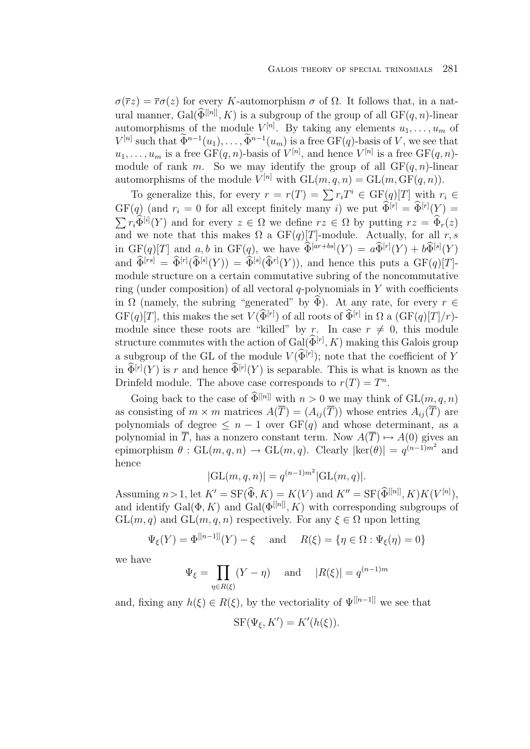$\sigma(\overline{r}z) = \overline{r}\sigma(z)$  for every K-automorphism  $\sigma$  of  $\Omega$ . It follows that, in a natural manner, Gal $(\widehat{\Phi}^{[[n]]}, K)$  is a subgroup of the group of all  $GF(q, n)$ -linear automorphisms of the module  $V^{[n]}$ . By taking any elements  $u_1, \ldots, u_m$  of  $V^{[n]}$  such that  $\widetilde{\Phi}^{n-1}(u_1),\ldots,\widetilde{\Phi}^{n-1}(u_m)$  is a free  $GF(q)$ -basis of V, we see that  $u_1, \ldots, u_m$  is a free  $\overline{\mathrm{GF}}(q,n)$ -basis of  $V^{[n]}$ , and hence  $V^{[n]}$  is a free  $\mathrm{GF}(q,n)$ module of rank m. So we may identify the group of all  $GF(q, n)$ -linear automorphisms of the module  $V^{[n]}$  with  $GL(m, q, n) = GL(m, GF(q, n)).$ 

To generalize this, for every  $r = r(T) = \sum r_i T^i \in GF(q)[T]$  with  $r_i \in$  $GF(q)$  (and  $r_i = 0$  for all except finitely many i) we put  $\widehat{\Phi}^{[r]} = \widehat{\Phi}^{[r]}(\underbrace{Y}) =$  $\sum r_i \widehat{\Phi}^{[i]}(Y)$  and for every  $z \in \Omega$  we define  $rz \in \Omega$  by putting  $rz = \widehat{\Phi}_r(z)$ and we note that this makes  $\Omega$  a GF(q)[T]-module. Actually, for all r, s in  $GF(q)[T]$  and  $a, b$  in  $GF(q)$ , we have  $\widehat{\Phi}^{[ar+bs]}(Y) = a\widehat{\Phi}^{[r]}(Y) + b\widehat{\Phi}^{[s]}(Y)$ and  $\widehat{\Phi}^{[rs]} = \widehat{\Phi}^{[r]}(\widehat{\Phi}^{[s]}(Y)) = \widehat{\Phi}^{[s]}(\widehat{\Phi}^{r]}(Y)),$  and hence this puts a  $GF(q)[T]$ module structure on a certain commutative subring of the noncommutative ring (under composition) of all vectoral  $q$ -polynomials in Y with coefficients in  $\Omega$  (namely, the subring "generated" by  $\widehat{\Phi}$ ). At any rate, for every  $r \in$  $GF(q)[T]$ , this makes the set  $V(\widehat{\Phi}^{[r]})$  of all roots of  $\widehat{\Phi}^{[r]}$  in  $\Omega$  a  $(GF(q)[T]/r)$ module since these roots are "killed" by r. In case  $r \neq 0$ , this module structure commutes with the action of  $Gal(\widehat{\Phi}^{[r]}, K)$  making this Galois group a subgroup of the GL of the module  $V(\widehat{\Phi}^{[r]})$ ; note that the coefficient of Y in  $\widehat{\Phi}^{[r]}(Y)$  is r and hence  $\widehat{\Phi}^{[r]}(Y)$  is separable. This is what is known as the Drinfeld module. The above case corresponds to  $r(T) = T^n$ .

Going back to the case of  $\widehat{\Phi}^{[[n]]}$  with  $n > 0$  we may think of  $GL(m, q, n)$ as consisting of  $m \times m$  matrices  $A(\overline{T})=(A_{ij}(\overline{T}))$  whose entries  $A_{ij}(\overline{T})$  are polynomials of degree  $\leq n-1$  over  $GF(q)$  and whose determinant, as a polynomial in  $\overline{T}$ , has a nonzero constant term. Now  $A(\overline{T}) \mapsto A(0)$  gives an epimorphism  $\theta$ : GL $(m, q, n) \to$  GL $(m, q)$ . Clearly  $|\text{ker}(\theta)| = q^{(n-1)m^2}$  and hence

$$
|GL(m, q, n)| = q^{(n-1)m^2} |GL(m, q)|.
$$

Assuming  $n > 1$ , let  $K' = \mathcal{SF}(\widehat{\Phi}, K) = K(V)$  and  $K'' = \mathcal{SF}(\widehat{\Phi}^{[[n]]}, K)K(V^{[n]}),$ and identify Gal $(\Phi, K)$  and Gal $(\Phi^{[[n]]}, K)$  with corresponding subgroups of  $GL(m, q)$  and  $GL(m, q, n)$  respectively. For any  $\xi \in \Omega$  upon letting

$$
\Psi_{\xi}(Y) = \Phi^{[[n-1]]}(Y) - \xi \quad \text{ and } \quad R(\xi) = \{ \eta \in \Omega : \Psi_{\xi}(\eta) = 0 \}
$$

we have

$$
\Psi_{\xi} = \prod_{\eta \in R(\xi)} (Y - \eta) \quad \text{and} \quad |R(\xi)| = q^{(n-1)m}
$$

and, fixing any  $h(\xi) \in R(\xi)$ , by the vectoriality of  $\Psi^{[[n-1]]}$  we see that

$$
SF(\Psi_{\xi}, K') = K'(h(\xi)).
$$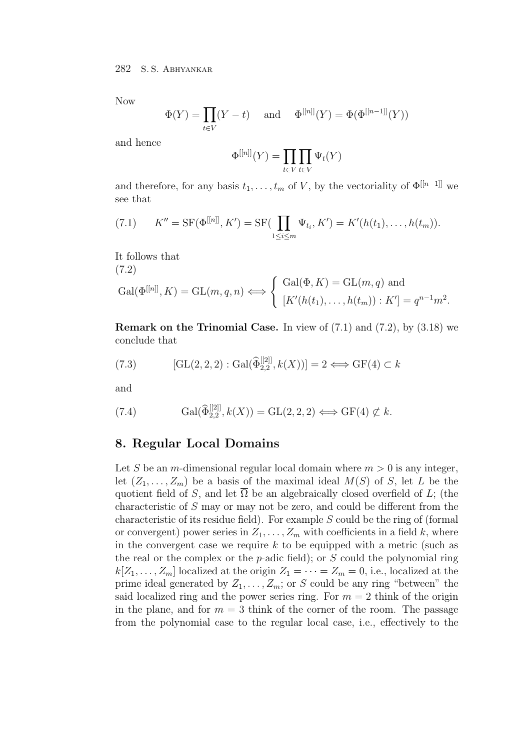Now

$$
\Phi(Y) = \prod_{t \in V} (Y - t) \quad \text{and} \quad \Phi^{[[n]]}(Y) = \Phi(\Phi^{[[n-1]]}(Y))
$$

and hence

$$
\Phi^{[[n]]}(Y) = \prod_{t \in V} \prod_{t \in V} \Psi_t(Y)
$$

and therefore, for any basis  $t_1, \ldots, t_m$  of V, by the vectoriality of  $\Phi^{[[n-1]]}$  we see that

(7.1) 
$$
K'' = \mathrm{SF}(\Phi^{[[n]]}, K') = \mathrm{SF}(\prod_{1 \leq i \leq m} \Psi_{t_i}, K') = K'(h(t_1), \dots, h(t_m)).
$$

It follows that (7.2)

$$
Gal(\Phi^{[[n]]}, K) = GL(m, q, n) \Longleftrightarrow \begin{cases} Gal(\Phi, K) = GL(m, q) \text{ and} \\ [K'(h(t_1), \dots, h(t_m)) : K'] = q^{n-1} m^2. \end{cases}
$$

**Remark on the Trinomial Case.** In view of (7.1) and (7.2), by (3.18) we conclude that

(7.3)  $[\text{GL}(2, 2, 2) : \text{Gal}(\widehat{\Phi}_{2,2}^{[[2]]}, k(X))] = 2 \Longleftrightarrow \text{GF}(4) \subset k$ 

and

(7.4) 
$$
\operatorname{Gal}(\widehat{\Phi}_{2,2}^{[[2]],k}(X)) = \operatorname{GL}(2,2,2) \Longleftrightarrow \operatorname{GF}(4) \not\subset k.
$$

### **8. Regular Local Domains**

Let S be an m-dimensional regular local domain where  $m > 0$  is any integer, let  $(Z_1, \ldots, Z_m)$  be a basis of the maximal ideal  $M(S)$  of S, let L be the quotient field of S, and let  $\overline{\Omega}$  be an algebraically closed overfield of L; (the characteristic of S may or may not be zero, and could be different from the characteristic of its residue field). For example  $S$  could be the ring of (formal or convergent) power series in  $Z_1, \ldots, Z_m$  with coefficients in a field k, where in the convergent case we require  $k$  to be equipped with a metric (such as the real or the complex or the p-adic field); or  $S$  could the polynomial ring  $k[Z_1,\ldots,Z_m]$  localized at the origin  $Z_1 = \cdots = Z_m = 0$ , i.e., localized at the prime ideal generated by  $Z_1, \ldots, Z_m$ ; or S could be any ring "between" the said localized ring and the power series ring. For  $m = 2$  think of the origin in the plane, and for  $m = 3$  think of the corner of the room. The passage from the polynomial case to the regular local case, i.e., effectively to the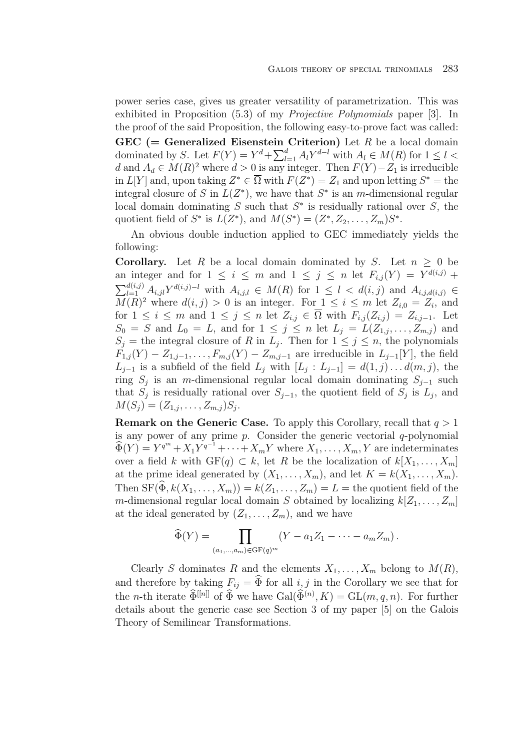power series case, gives us greater versatility of parametrization. This was exhibited in Proposition (5.3) of my *Projective Polynomials* paper [3]. In the proof of the said Proposition, the following easy-to-prove fact was called: **GEC (= Generalized Eisenstein Criterion)** Let R be a local domain dominated by S. Let  $F(Y) = Y^d + \sum_{l=1}^d A_l Y^{d-l}$  with  $A_l \in M(R)$  for  $1 \leq l <$ d and  $A_d \in M(R)^2$  where  $d > 0$  is any integer. Then  $F(Y) - Z_1$  is irreducible in  $L[Y]$  and, upon taking  $Z^* \in \overline{\Omega}$  with  $F(Z^*) = Z_1$  and upon letting  $S^* =$  the integral closure of S in  $L(Z^*)$ , we have that  $S^*$  is an m-dimensional regular local domain dominating S such that  $S^*$  is residually rational over S, the quotient field of  $S^*$  is  $L(Z^*)$ , and  $M(S^*)=(Z^*, Z_2, \ldots, Z_m)S^*$ .

An obvious double induction applied to GEC immediately yields the following:

**Corollary.** Let R be a local domain dominated by S. Let  $n \geq 0$  be an integer and for  $1 \leq i \leq m$  and  $1 \leq j \leq n$  let  $F_{i,j}(Y) = Y^{d(i,j)} + Y^{d(i,j)}$  $\sum_{l=1}^{d(i,j)} A_{i,jl} Y^{d(i,j)-l}$  with  $A_{i,j,l} \in M(R)$  for  $1 \leq l \leq d(i,j)$  and  $A_{i,j,d(i,j)} \in$  $M(R)^2$  where  $d(i, j) > 0$  is an integer. For  $1 \leq i \leq m$  let  $Z_{i,0} = Z_i$ , and for  $1 \leq i \leq m$  and  $1 \leq j \leq n$  let  $Z_{i,j} \in \overline{\Omega}$  with  $F_{i,j}(Z_{i,j}) = Z_{i,j-1}$ . Let  $S_0 = S$  and  $L_0 = L$ , and for  $1 \leq j \leq n$  let  $L_j = L(Z_{1,j}, \ldots, Z_{m,j})$  and  $S_j$  = the integral closure of R in  $L_j$ . Then for  $1 \leq j \leq n$ , the polynomials  $F_{1,j}(Y) - Z_{1,j-1}, \ldots, F_{m,j}(Y) - Z_{m,j-1}$  are irreducible in  $L_{j-1}[Y]$ , the field  $L_{j-1}$  is a subfield of the field  $L_j$  with  $[L_j : L_{j-1}] = d(1,j) \dots d(m, j)$ , the ring  $S_j$  is an m-dimensional regular local domain dominating  $S_{j-1}$  such that  $S_j$  is residually rational over  $S_{j-1}$ , the quotient field of  $S_j$  is  $L_j$ , and  $M(S_i) = (Z_{1,j}, \ldots, Z_{m,j})S_j.$ 

**Remark on the Generic Case.** To apply this Corollary, recall that  $q > 1$ is any power of any prime  $p$ . Consider the generic vectorial  $q$ -polynomial  $\widehat{\Phi}(Y) = Y^{q^m} + X_1 Y^{q^{-1}} + \cdots + X_m Y$  where  $X_1, \ldots, X_m, Y$  are indeterminates over a field k with  $GF(q) \subset k$ , let R be the localization of  $k[X_1,\ldots,X_m]$ at the prime ideal generated by  $(X_1, \ldots, X_m)$ , and let  $K = k(X_1, \ldots, X_m)$ . Then  $SF(\widehat{\Phi}, k(X_1, \ldots, X_m)) = k(Z_1, \ldots, Z_m) = L$  = the quotient field of the m-dimensional regular local domain S obtained by localizing  $k[Z_1,\ldots,Z_m]$ at the ideal generated by  $(Z_1, \ldots, Z_m)$ , and we have

$$
\widehat{\Phi}(Y) = \prod_{(a_1,\ldots,a_m)\in\mathrm{GF}(q)^m} (Y - a_1 Z_1 - \cdots - a_m Z_m).
$$

Clearly S dominates R and the elements  $X_1, \ldots, X_m$  belong to  $M(R)$ , and therefore by taking  $F_{ij} = \widehat{\Phi}$  for all  $i, j$  in the Corollary we see that for the *n*-th iterate  $\widehat{\Phi}^{[n]}$  of  $\widehat{\Phi}$  we have  $Gal(\widehat{\Phi}^{(n)}, K) = GL(m, q, n)$ . For further details about the generic case see Section 3 of my paper [5] on the Galois Theory of Semilinear Transformations.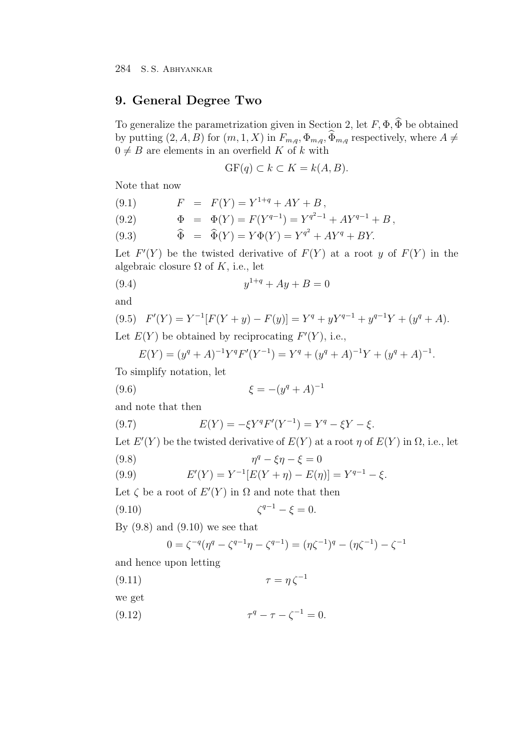# **9. General Degree Two**

To generalize the parametrization given in Section 2, let  $F, \Phi, \widehat{\Phi}$  be obtained by putting  $(2, A, B)$  for  $(m, 1, X)$  in  $F_{m,q}, \Phi_{m,q}, \widehat{\Phi}_{m,q}$  respectively, where  $A \neq$  $0 \neq B$  are elements in an overfield K of k with

$$
GF(q) \subset k \subset K = k(A, B).
$$

Note that now

(9.1) 
$$
F = F(Y) = Y^{1+q} + AY + B,
$$
  
\n(9.2) 
$$
\Phi = \Phi(Y) = F(Y^{q-1}) = Y^{q^2-1} + AY^{q-1} + B,
$$
  
\n(9.3) 
$$
\widehat{\Phi} = \widehat{\Phi}(Y) = Y\Phi(Y) = Y^{q^2} + AY^q + BY.
$$

Let  $F'(Y)$  be the twisted derivative of  $F(Y)$  at a root y of  $F(Y)$  in the algebraic closure  $\Omega$  of K, i.e., let

(9.4) 
$$
y^{1+q} + Ay + B = 0
$$

and

(9.5) 
$$
F'(Y) = Y^{-1}[F(Y + y) - F(y)] = Y^q + yY^{q-1} + y^{q-1}Y + (y^q + A).
$$
  
Let  $E(Y)$  be obtained by reciprocating  $F'(Y)$ , i.e.,

$$
E(Y) = (y^q + A)^{-1}Y^qF'(Y^{-1}) = Y^q + (y^q + A)^{-1}Y + (y^q + A)^{-1}.
$$

To simplify notation, let

(9.6) 
$$
\xi = -(y^q + A)^{-1}
$$

and note that then

(9.7) 
$$
E(Y) = -\xi Y^q F'(Y^{-1}) = Y^q - \xi Y - \xi.
$$

Let  $E'(Y)$  be the twisted derivative of  $E(Y)$  at a root  $\eta$  of  $E(Y)$  in  $\Omega$ , i.e., let

$$
(9.8)\qquad \qquad \eta^q - \xi \eta - \xi = 0
$$

(9.9) 
$$
E'(Y) = Y^{-1}[E(Y + \eta) - E(\eta)] = Y^{q-1} - \xi.
$$

Let  $\zeta$  be a root of  $E'(Y)$  in  $\Omega$  and note that then

(9.10) 
$$
\zeta^{q-1} - \xi = 0.
$$

By  $(9.8)$  and  $(9.10)$  we see that

$$
0 = \zeta^{-q}(\eta^q - \zeta^{q-1}\eta - \zeta^{q-1}) = (\eta\zeta^{-1})^q - (\eta\zeta^{-1}) - \zeta^{-1}
$$

and hence upon letting

$$
\tau = \eta \zeta^{-1}
$$

- we get
- (9.12)  $\tau^q \tau \zeta^{-1} = 0.$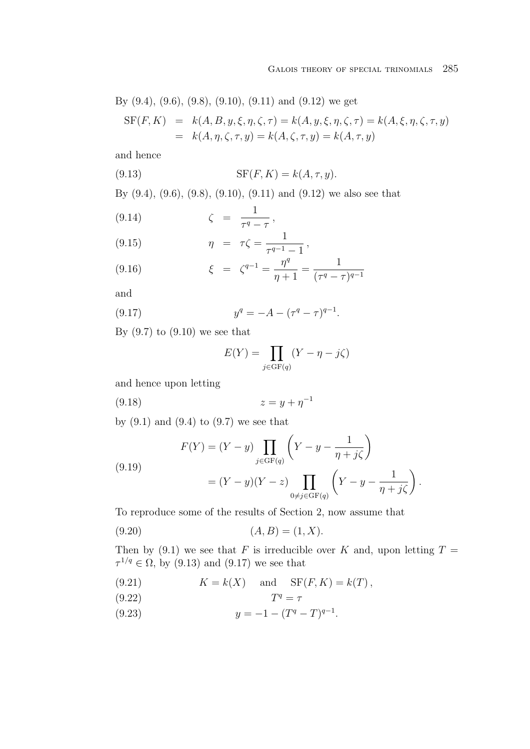By (9.4), (9.6), (9.8), (9.10), (9.11) and (9.12) we get  
\n
$$
SF(F, K) = k(A, B, y, \xi, \eta, \zeta, \tau) = k(A, y, \xi, \eta, \zeta, \tau) = k(A, \xi, \eta, \zeta, \tau, y)
$$
\n
$$
= k(A, \eta, \zeta, \tau, y) = k(A, \zeta, \tau, y) = k(A, \tau, y)
$$

and hence

$$
(9.13)\qquad \qquad \text{SF}(F,K) = k(A,\tau,y).
$$

By (9.4), (9.6), (9.8), (9.10), (9.11) and (9.12) we also see that

$$
(9.14) \qquad \zeta = \frac{1}{\tau^q - \tau},
$$

(9.15) 
$$
\eta = \tau \zeta = \frac{1}{\tau^{q-1} - 1},
$$

(9.16) 
$$
\xi = \zeta^{q-1} = \frac{\eta^q}{\eta + 1} = \frac{1}{(\tau^q - \tau)^{q-1}}
$$

and

(9.17) 
$$
y^q = -A - (\tau^q - \tau)^{q-1}.
$$

By  $(9.7)$  to  $(9.10)$  we see that

$$
E(Y) = \prod_{j \in \text{GF}(q)} (Y - \eta - j\zeta)
$$

and hence upon letting

(9.18) 
$$
z = y + \eta^{-1}
$$

by  $(9.1)$  and  $(9.4)$  to  $(9.7)$  we see that

(9.19)  

$$
F(Y) = (Y - y) \prod_{j \in \text{GF}(q)} \left( Y - y - \frac{1}{\eta + j\zeta} \right)
$$

$$
= (Y - y)(Y - z) \prod_{0 \neq j \in \text{GF}(q)} \left( Y - y - \frac{1}{\eta + j\zeta} \right).
$$

To reproduce some of the results of Section 2, now assume that

$$
(9.20)\t\t (A, B) = (1, X).
$$

Then by (9.1) we see that F is irreducible over K and, upon letting  $T =$  $\tau^{1/q} \in \Omega$ , by (9.13) and (9.17) we see that

(9.21) 
$$
K = k(X) \quad \text{and} \quad \text{SF}(F, K) = k(T),
$$

$$
(9.22)\t\t Tq = \tau
$$

(9.23) 
$$
y = -1 - (T^q - T)^{q-1}.
$$